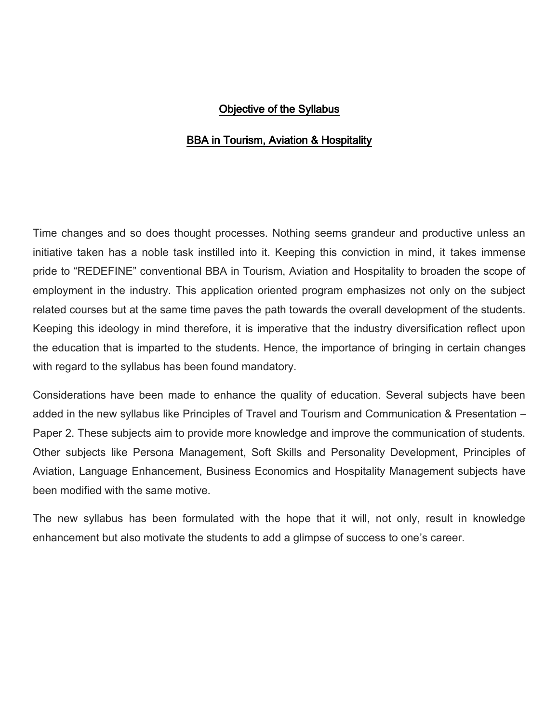### Objective of the Syllabus

### BBA in Tourism, Aviation & Hospitality

Time changes and so does thought processes. Nothing seems grandeur and productive unless an initiative taken has a noble task instilled into it. Keeping this conviction in mind, it takes immense pride to "REDEFINE" conventional BBA in Tourism, Aviation and Hospitality to broaden the scope of employment in the industry. This application oriented program emphasizes not only on the subject related courses but at the same time paves the path towards the overall development of the students. Keeping this ideology in mind therefore, it is imperative that the industry diversification reflect upon the education that is imparted to the students. Hence, the importance of bringing in certain changes with regard to the syllabus has been found mandatory.

Considerations have been made to enhance the quality of education. Several subjects have been added in the new syllabus like Principles of Travel and Tourism and Communication & Presentation – Paper 2. These subjects aim to provide more knowledge and improve the communication of students. Other subjects like Persona Management, Soft Skills and Personality Development, Principles of Aviation, Language Enhancement, Business Economics and Hospitality Management subjects have been modified with the same motive.

The new syllabus has been formulated with the hope that it will, not only, result in knowledge enhancement but also motivate the students to add a glimpse of success to one's career.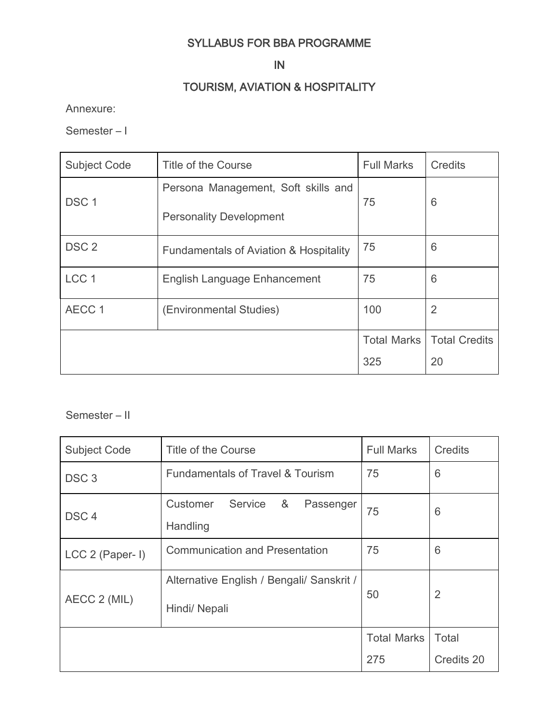## SYLLABUS FOR BBA PROGRAMME

## IN

## TOURISM, AVIATION & HOSPITALITY

Annexure:

Semester – I

| <b>Subject Code</b> | Title of the Course                               | <b>Full Marks</b>  | <b>Credits</b>       |
|---------------------|---------------------------------------------------|--------------------|----------------------|
| DSC <sub>1</sub>    | Persona Management, Soft skills and               | 75                 | 6                    |
|                     | <b>Personality Development</b>                    |                    |                      |
| DSC <sub>2</sub>    | <b>Fundamentals of Aviation &amp; Hospitality</b> | 75                 | 6                    |
| LCC <sub>1</sub>    | <b>English Language Enhancement</b>               | 75                 | 6                    |
| AECC 1              | (Environmental Studies)                           | 100                | $\overline{2}$       |
|                     |                                                   | <b>Total Marks</b> | <b>Total Credits</b> |
|                     |                                                   | 325                | 20                   |

## Semester – II

| <b>Subject Code</b> | Title of the Course                                        | <b>Full Marks</b>  | Credits        |
|---------------------|------------------------------------------------------------|--------------------|----------------|
| DSC <sub>3</sub>    | <b>Fundamentals of Travel &amp; Tourism</b>                | 75                 | 6              |
| DSC <sub>4</sub>    | &<br>Customer<br>Service<br>Passenger<br>Handling          | 75                 | 6              |
| LCC 2 (Paper- I)    | <b>Communication and Presentation</b>                      | 75                 | 6              |
| AECC 2 (MIL)        | Alternative English / Bengali/ Sanskrit /<br>Hindi/ Nepali | 50                 | $\overline{2}$ |
|                     |                                                            | <b>Total Marks</b> | Total          |
|                     |                                                            | 275                | Credits 20     |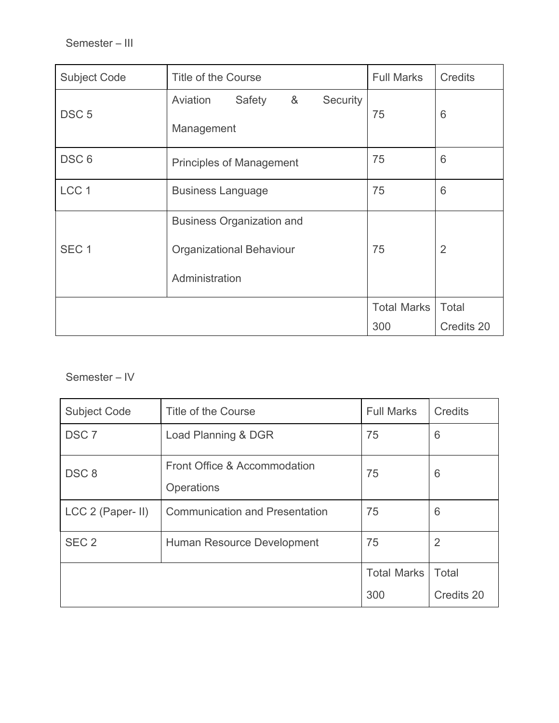| <b>Subject Code</b> | Title of the Course                                                                   | <b>Full Marks</b>  | Credits        |
|---------------------|---------------------------------------------------------------------------------------|--------------------|----------------|
| DSC <sub>5</sub>    | 8 <sub>o</sub><br>Security<br>Aviation<br>Safety<br>Management                        | 75                 | 6              |
| DSC <sub>6</sub>    | <b>Principles of Management</b>                                                       | 75                 | 6              |
| LCC <sub>1</sub>    | <b>Business Language</b>                                                              | 75                 | 6              |
| SEC <sub>1</sub>    | <b>Business Organization and</b><br><b>Organizational Behaviour</b><br>Administration | 75                 | $\overline{2}$ |
|                     |                                                                                       | <b>Total Marks</b> | Total          |
|                     |                                                                                       | 300                | Credits 20     |

## Semester – IV

| <b>Subject Code</b> | Title of the Course                        | <b>Full Marks</b>  | <b>Credits</b> |
|---------------------|--------------------------------------------|--------------------|----------------|
| DSC <sub>7</sub>    | Load Planning & DGR                        | 75                 | 6              |
| DSC <sub>8</sub>    | Front Office & Accommodation<br>Operations | 75                 | 6              |
| LCC 2 (Paper- II)   | <b>Communication and Presentation</b>      | 75                 | 6              |
| SEC <sub>2</sub>    | Human Resource Development                 | 75                 | 2              |
|                     |                                            | <b>Total Marks</b> | Total          |
|                     |                                            | 300                | Credits 20     |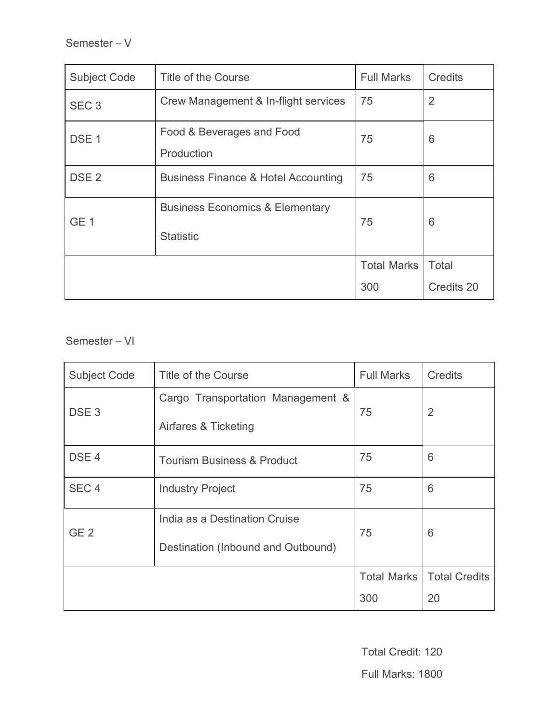| <b>Subject Code</b> | Title of the Course                                            | <b>Full Marks</b>  | Credits        |
|---------------------|----------------------------------------------------------------|--------------------|----------------|
| SEC <sub>3</sub>    | Crew Management & In-flight services                           | 75                 | $\overline{2}$ |
| DSE <sub>1</sub>    | Food & Beverages and Food<br>Production                        | 75                 | 6              |
| DSE <sub>2</sub>    | <b>Business Finance &amp; Hotel Accounting</b>                 | 75                 | 6              |
| GE <sub>1</sub>     | <b>Business Economics &amp; Elementary</b><br><b>Statistic</b> | 75                 | 6              |
|                     |                                                                | <b>Total Marks</b> | Total          |
|                     |                                                                | 300                | Credits 20     |

Semester – VI

| <b>Subject Code</b> | Title of the Course                   | <b>Full Marks</b>  | Credits              |
|---------------------|---------------------------------------|--------------------|----------------------|
| DSE <sub>3</sub>    | Cargo Transportation Management &     |                    | $\overline{2}$       |
|                     | Airfares & Ticketing                  | 75                 |                      |
| DSE <sub>4</sub>    | <b>Tourism Business &amp; Product</b> | 75                 | 6                    |
| SEC <sub>4</sub>    | <b>Industry Project</b>               | 75                 | 6                    |
| GE <sub>2</sub>     | India as a Destination Cruise         |                    |                      |
|                     | Destination (Inbound and Outbound)    | 75                 | 6                    |
|                     |                                       | <b>Total Marks</b> | <b>Total Credits</b> |
|                     |                                       | 300                | 20                   |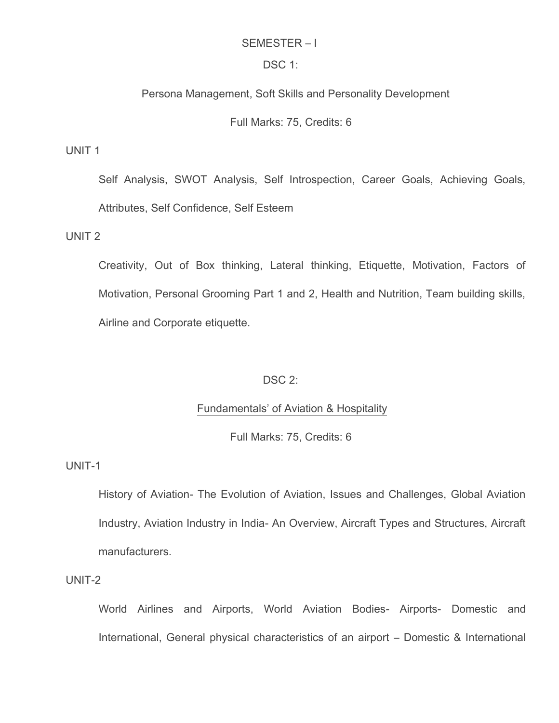#### SEMESTER – I

#### DSC 1:

#### Persona Management, Soft Skills and Personality Development

#### Full Marks: 75, Credits: 6

UNIT 1

Self Analysis, SWOT Analysis, Self Introspection, Career Goals, Achieving Goals, Attributes, Self Confidence, Self Esteem

UNIT 2

Creativity, Out of Box thinking, Lateral thinking, Etiquette, Motivation, Factors of Motivation, Personal Grooming Part 1 and 2, Health and Nutrition, Team building skills, Airline and Corporate etiquette.

#### DSC 2:

#### Fundamentals' of Aviation & Hospitality

Full Marks: 75, Credits: 6

UNIT-1

History of Aviation- The Evolution of Aviation, Issues and Challenges, Global Aviation Industry, Aviation Industry in India- An Overview, Aircraft Types and Structures, Aircraft manufacturers.

UNIT-2

World Airlines and Airports, World Aviation Bodies- Airports- Domestic and International, General physical characteristics of an airport – Domestic & International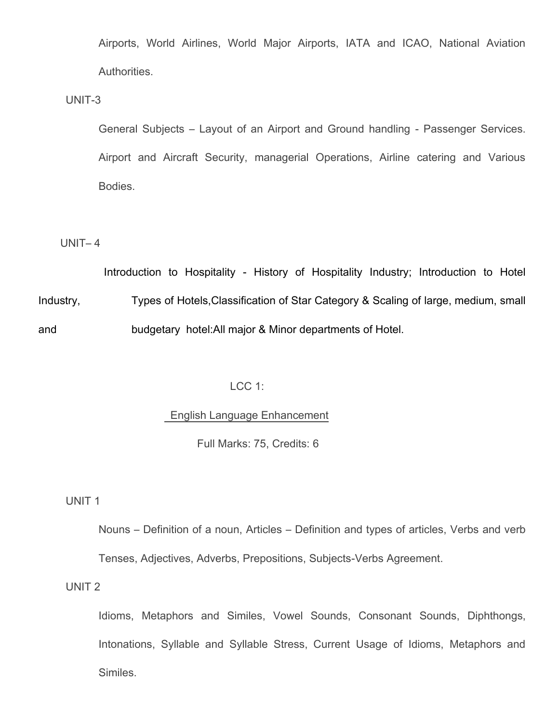Airports, World Airlines, World Major Airports, IATA and ICAO, National Aviation Authorities.

UNIT-3

General Subjects – Layout of an Airport and Ground handling - Passenger Services. Airport and Aircraft Security, managerial Operations, Airline catering and Various Bodies.

#### UNIT– 4

Introduction to Hospitality - History of Hospitality Industry; Introduction to Hotel Industry, Types of Hotels,Classification of Star Category & Scaling of large, medium, small and budgetary hotel:All major & Minor departments of Hotel.

### LCC 1:

#### English Language Enhancement

Full Marks: 75, Credits: 6

UNIT 1

Nouns – Definition of a noun, Articles – Definition and types of articles, Verbs and verb Tenses, Adjectives, Adverbs, Prepositions, Subjects-Verbs Agreement.

UNIT 2

Idioms, Metaphors and Similes, Vowel Sounds, Consonant Sounds, Diphthongs, Intonations, Syllable and Syllable Stress, Current Usage of Idioms, Metaphors and Similes.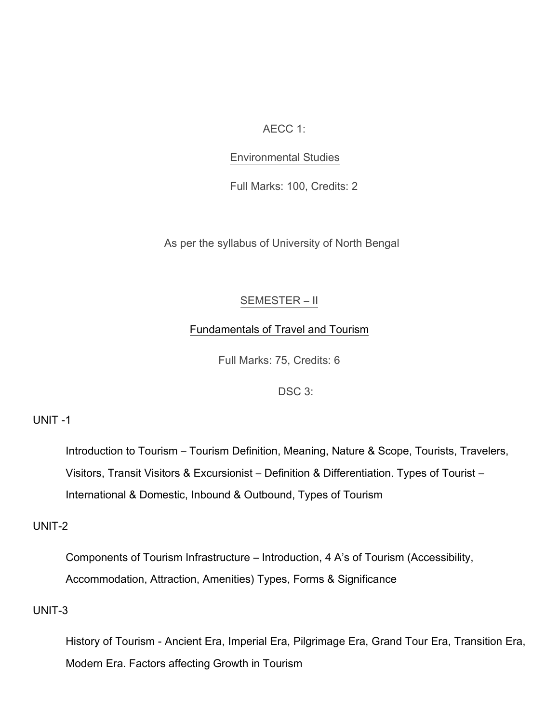AECC 1:

### Environmental Studies

Full Marks: 100, Credits: 2

As per the syllabus of University of North Bengal

### SEMESTER – II

### Fundamentals of Travel and Tourism

Full Marks: 75, Credits: 6

DSC 3:

### UNIT -1

Introduction to Tourism – Tourism Definition, Meaning, Nature & Scope, Tourists, Travelers, Visitors, Transit Visitors & Excursionist – Definition & Differentiation. Types of Tourist – International & Domestic, Inbound & Outbound, Types of Tourism

### UNIT-2

Components of Tourism Infrastructure – Introduction, 4 A's of Tourism (Accessibility, Accommodation, Attraction, Amenities) Types, Forms & Significance

### UNIT-3

History of Tourism - Ancient Era, Imperial Era, Pilgrimage Era, Grand Tour Era, Transition Era, Modern Era. Factors affecting Growth in Tourism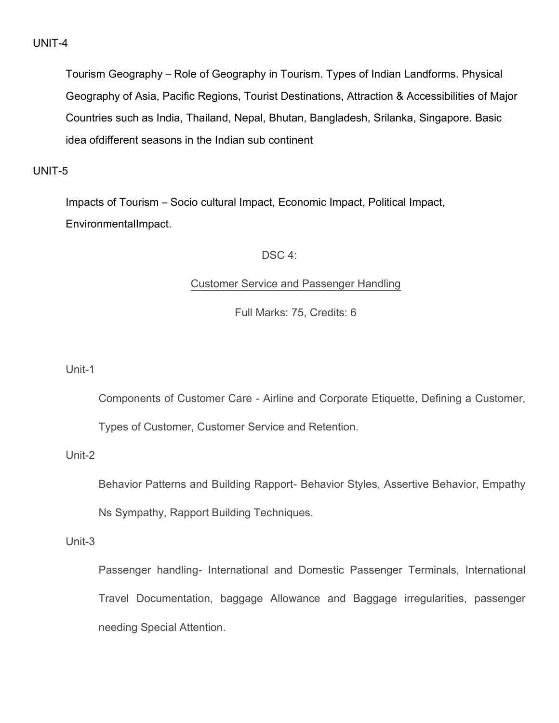Tourism Geography – Role of Geography in Tourism. Types of Indian Landforms. Physical Geography of Asia, Pacific Regions, Tourist Destinations, Attraction & Accessibilities of Major Countries such as India, Thailand, Nepal, Bhutan, Bangladesh, Srilanka, Singapore. Basic idea ofdifferent seasons in the Indian sub continent

## UNIT-5

Impacts of Tourism – Socio cultural Impact, Economic Impact, Political Impact, EnvironmentalImpact.

### DSC<sub>4</sub>:

### Customer Service and Passenger Handling

Full Marks: 75, Credits: 6

Unit-1

Components of Customer Care - Airline and Corporate Etiquette, Defining a Customer,

Types of Customer, Customer Service and Retention.

### Unit-2

Behavior Patterns and Building Rapport- Behavior Styles, Assertive Behavior, Empathy

Ns Sympathy, Rapport Building Techniques.

Unit-3

Passenger handling- International and Domestic Passenger Terminals, International Travel Documentation, baggage Allowance and Baggage irregularities, passenger needing Special Attention.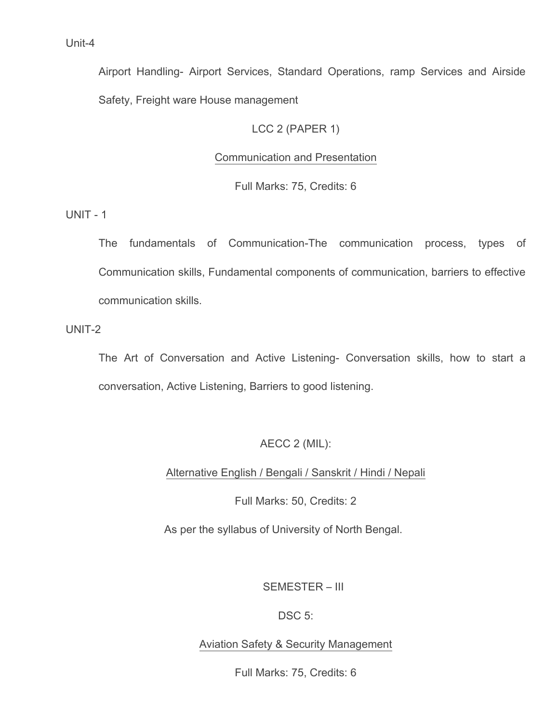Airport Handling- Airport Services, Standard Operations, ramp Services and Airside Safety, Freight ware House management

## LCC 2 (PAPER 1)

## Communication and Presentation

Full Marks: 75, Credits: 6

UNIT - 1

The fundamentals of Communication-The communication process, types of Communication skills, Fundamental components of communication, barriers to effective communication skills.

UNIT-2

The Art of Conversation and Active Listening- Conversation skills, how to start a conversation, Active Listening, Barriers to good listening.

## AECC 2 (MIL):

Alternative English / Bengali / Sanskrit / Hindi / Nepali

Full Marks: 50, Credits: 2

As per the syllabus of University of North Bengal.

## SEMESTER – III

### DSC 5:

## Aviation Safety & Security Management

Full Marks: 75, Credits: 6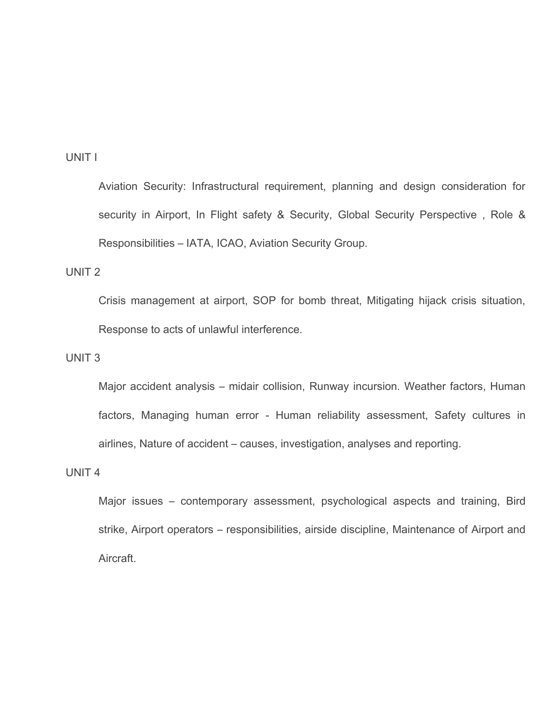### UNIT I

Aviation Security: Infrastructural requirement, planning and design consideration for security in Airport, In Flight safety & Security, Global Security Perspective, Role & Responsibilities – IATA, ICAO, Aviation Security Group.

### UNIT 2

Crisis management at airport, SOP for bomb threat, Mitigating hijack crisis situation, Response to acts of unlawful interference.

## UNIT 3

Major accident analysis – midair collision, Runway incursion. Weather factors, Human factors, Managing human error - Human reliability assessment, Safety cultures in airlines, Nature of accident – causes, investigation, analyses and reporting.

### UNIT 4

Major issues – contemporary assessment, psychological aspects and training, Bird strike, Airport operators – responsibilities, airside discipline, Maintenance of Airport and Aircraft.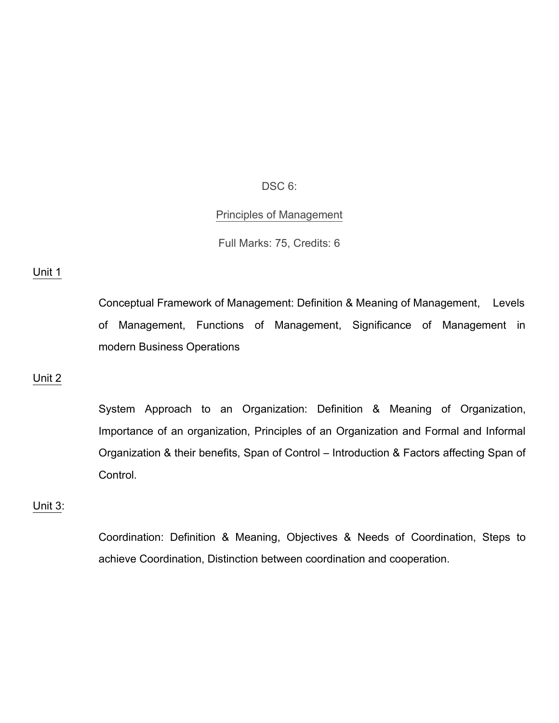DSC 6:

#### Principles of Management

Full Marks: 75, Credits: 6

#### Unit 1

Conceptual Framework of Management: Definition & Meaning of Management, Levels of Management, Functions of Management, Significance of Management in modern Business Operations

#### Unit 2

System Approach to an Organization: Definition & Meaning of Organization, Importance of an organization, Principles of an Organization and Formal and Informal Organization & their benefits, Span of Control – Introduction & Factors affecting Span of Control.

#### Unit 3:

Coordination: Definition & Meaning, Objectives & Needs of Coordination, Steps to achieve Coordination, Distinction between coordination and cooperation.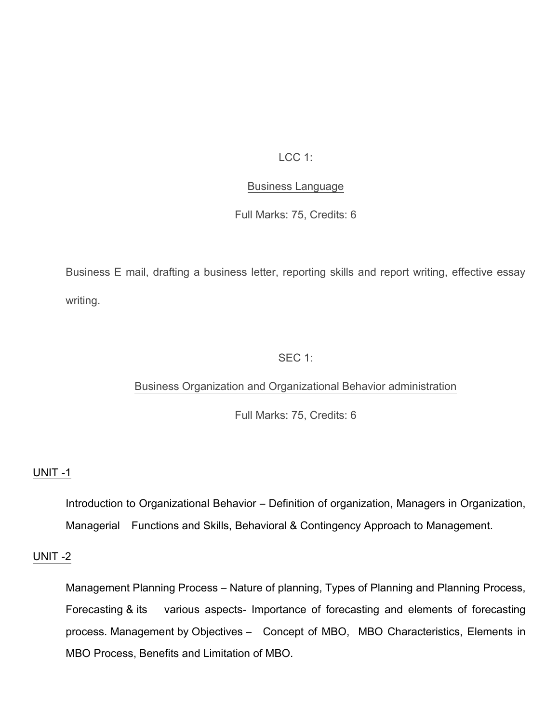### LCC 1:

### Business Language

Full Marks: 75, Credits: 6

Business E mail, drafting a business letter, reporting skills and report writing, effective essay writing.

### SEC 1:

### Business Organization and Organizational Behavior administration

Full Marks: 75, Credits: 6

### UNIT -1

Introduction to Organizational Behavior – Definition of organization, Managers in Organization, Managerial Functions and Skills, Behavioral & Contingency Approach to Management.

### UNIT -2

Management Planning Process – Nature of planning, Types of Planning and Planning Process, Forecasting & its various aspects- Importance of forecasting and elements of forecasting process. Management by Objectives – Concept of MBO, MBO Characteristics, Elements in MBO Process, Benefits and Limitation of MBO.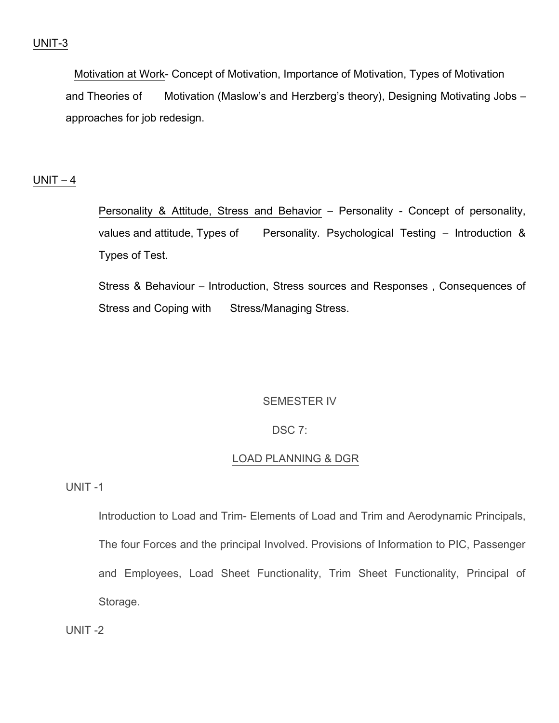Motivation at Work- Concept of Motivation, Importance of Motivation, Types of Motivation and Theories of Motivation (Maslow's and Herzberg's theory), Designing Motivating Jobs – approaches for job redesign.

### $UNIT - 4$

Personality & Attitude, Stress and Behavior – Personality - Concept of personality, values and attitude, Types of Personality. Psychological Testing – Introduction & Types of Test.

Stress & Behaviour – Introduction, Stress sources and Responses , Consequences of Stress and Coping with Stress/Managing Stress.

### SEMESTER IV

### DSC 7:

### LOAD PLANNING & DGR

UNIT -1

Introduction to Load and Trim- Elements of Load and Trim and Aerodynamic Principals, The four Forces and the principal Involved. Provisions of Information to PIC, Passenger and Employees, Load Sheet Functionality, Trim Sheet Functionality, Principal of Storage.

UNIT -2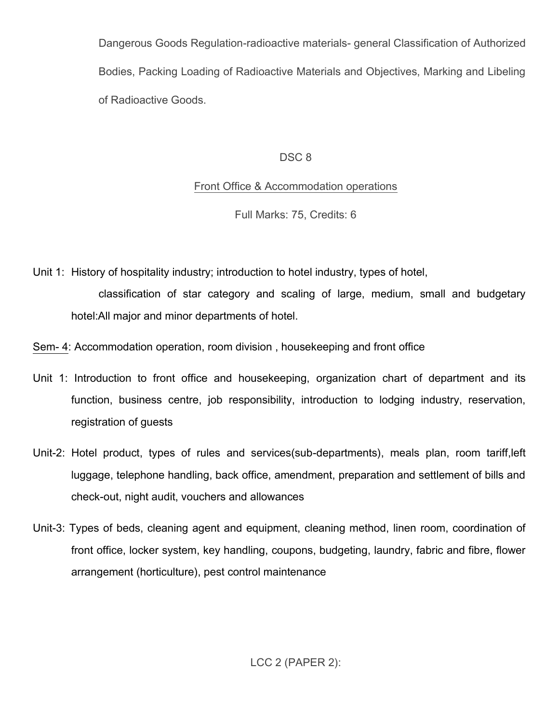Dangerous Goods Regulation-radioactive materials- general Classification of Authorized Bodies, Packing Loading of Radioactive Materials and Objectives, Marking and Libeling of Radioactive Goods.

## DSC<sub>8</sub>

## Front Office & Accommodation operations

Full Marks: 75, Credits: 6

Unit 1: History of hospitality industry; introduction to hotel industry, types of hotel,

classification of star category and scaling of large, medium, small and budgetary hotel:All major and minor departments of hotel.

Sem- 4: Accommodation operation, room division , housekeeping and front office

- Unit 1: Introduction to front office and housekeeping, organization chart of department and its function, business centre, job responsibility, introduction to lodging industry, reservation, registration of guests
- Unit-2: Hotel product, types of rules and services(sub-departments), meals plan, room tariff,left luggage, telephone handling, back office, amendment, preparation and settlement of bills and check-out, night audit, vouchers and allowances
- Unit-3: Types of beds, cleaning agent and equipment, cleaning method, linen room, coordination of front office, locker system, key handling, coupons, budgeting, laundry, fabric and fibre, flower arrangement (horticulture), pest control maintenance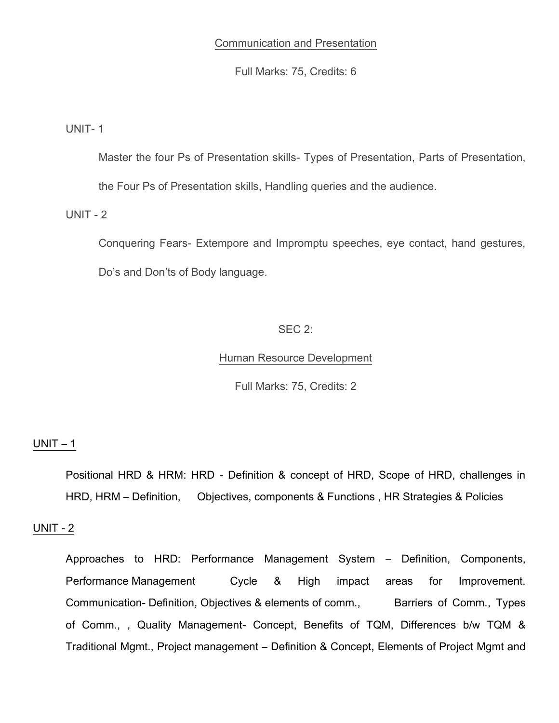### Communication and Presentation

Full Marks: 75, Credits: 6

UNIT- 1

Master the four Ps of Presentation skills- Types of Presentation, Parts of Presentation,

the Four Ps of Presentation skills, Handling queries and the audience.

UNIT - 2

Conquering Fears- Extempore and Impromptu speeches, eye contact, hand gestures, Do's and Don'ts of Body language.

### SEC 2:

### Human Resource Development

Full Marks: 75, Credits: 2

#### $UNIT - 1$

Positional HRD & HRM: HRD - Definition & concept of HRD, Scope of HRD, challenges in HRD, HRM – Definition, Objectives, components & Functions , HR Strategies & Policies

### UNIT - 2

Approaches to HRD: Performance Management System – Definition, Components, Performance Management Cycle & High impact areas for Improvement. Communication- Definition, Objectives & elements of comm., Barriers of Comm., Types of Comm., , Quality Management- Concept, Benefits of TQM, Differences b/w TQM & Traditional Mgmt., Project management – Definition & Concept, Elements of Project Mgmt and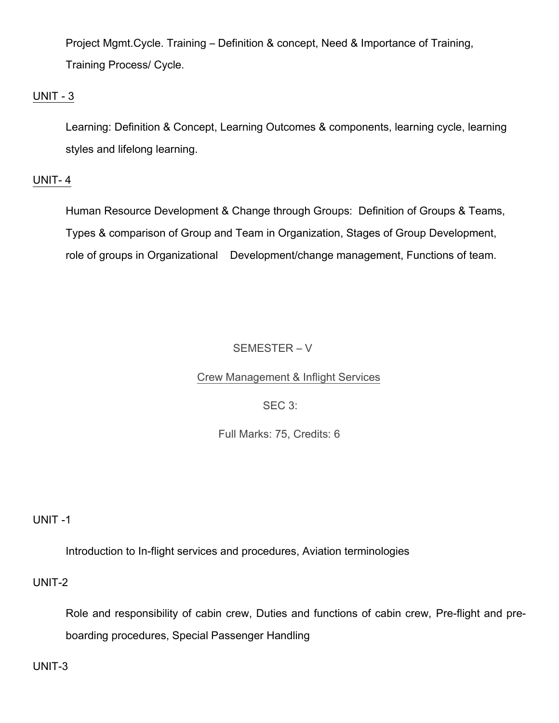Project Mgmt.Cycle. Training – Definition & concept, Need & Importance of Training, Training Process/ Cycle.

### UNIT - 3

Learning: Definition & Concept, Learning Outcomes & components, learning cycle, learning styles and lifelong learning.

### UNIT- 4

Human Resource Development & Change through Groups: Definition of Groups & Teams, Types & comparison of Group and Team in Organization, Stages of Group Development, role of groups in Organizational Development/change management, Functions of team.

## SEMESTER – V

### Crew Management & Inflight Services

### SEC 3:

### Full Marks: 75, Credits: 6

### UNIT -1

Introduction to In-flight services and procedures, Aviation terminologies

### UNIT-2

Role and responsibility of cabin crew, Duties and functions of cabin crew, Pre-flight and preboarding procedures, Special Passenger Handling

UNIT-3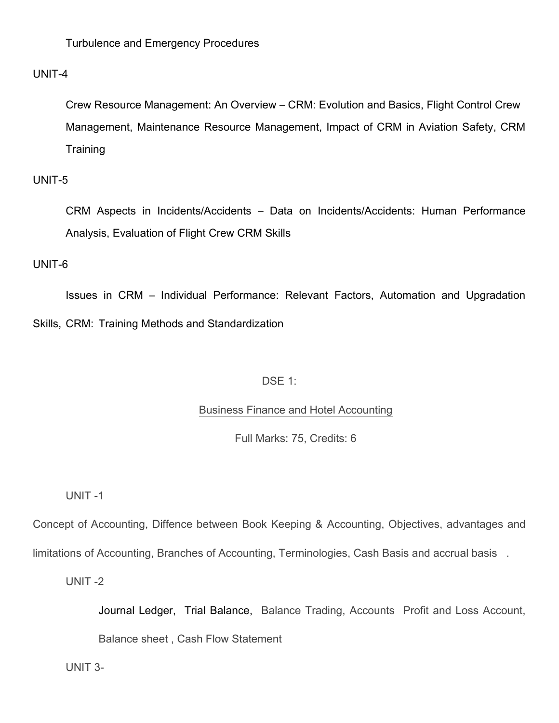Turbulence and Emergency Procedures

### UNIT-4

Crew Resource Management: An Overview – CRM: Evolution and Basics, Flight Control Crew Management, Maintenance Resource Management, Impact of CRM in Aviation Safety, CRM **Training** 

### UNIT-5

CRM Aspects in Incidents/Accidents – Data on Incidents/Accidents: Human Performance Analysis, Evaluation of Flight Crew CRM Skills

### UNIT-6

Issues in CRM – Individual Performance: Relevant Factors, Automation and Upgradation Skills, CRM: Training Methods and Standardization

### DSE 1:

### Business Finance and Hotel Accounting

Full Marks: 75, Credits: 6

UNIT -1

Concept of Accounting, Diffence between Book Keeping & Accounting, Objectives, advantages and

limitations of Accounting, Branches of Accounting, Terminologies, Cash Basis and accrual basis .

UNIT -2

Journal Ledger, Trial Balance, Balance Trading, Accounts Profit and Loss Account,

Balance sheet , Cash Flow Statement

UNIT 3-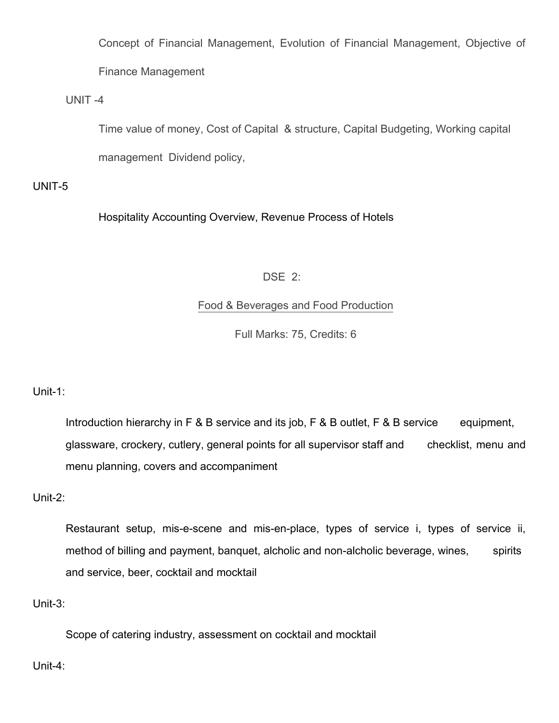Concept of Financial Management, Evolution of Financial Management, Objective of Finance Management

UNIT -4

Time value of money, Cost of Capital & structure, Capital Budgeting, Working capital

management Dividend policy,

UNIT-5

Hospitality Accounting Overview, Revenue Process of Hotels

## DSE 2:

## Food & Beverages and Food Production

Full Marks: 75, Credits: 6

Unit-1:

Introduction hierarchy in F & B service and its job, F & B outlet, F & B service equipment, glassware, crockery, cutlery, general points for all supervisor staff and checklist, menu and menu planning, covers and accompaniment

Unit-2:

Restaurant setup, mis-e-scene and mis-en-place, types of service i, types of service ii, method of billing and payment, banquet, alcholic and non-alcholic beverage, wines, spirits and service, beer, cocktail and mocktail

Unit-3:

Scope of catering industry, assessment on cocktail and mocktail

Unit-4: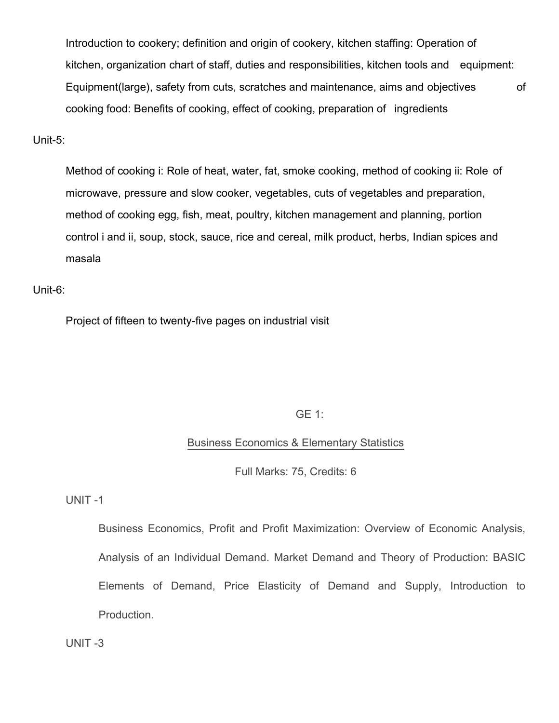Introduction to cookery; definition and origin of cookery, kitchen staffing: Operation of kitchen, organization chart of staff, duties and responsibilities, kitchen tools and equipment: Equipment(large), safety from cuts, scratches and maintenance, aims and objectives of cooking food: Benefits of cooking, effect of cooking, preparation of ingredients

#### Unit-5:

Method of cooking i: Role of heat, water, fat, smoke cooking, method of cooking ii: Role of microwave, pressure and slow cooker, vegetables, cuts of vegetables and preparation, method of cooking egg, fish, meat, poultry, kitchen management and planning, portion control i and ii, soup, stock, sauce, rice and cereal, milk product, herbs, Indian spices and masala

### Unit-6:

Project of fifteen to twenty-five pages on industrial visit

### GE 1:

### Business Economics & Elementary Statistics

Full Marks: 75, Credits: 6

### UNIT -1

Business Economics, Profit and Profit Maximization: Overview of Economic Analysis, Analysis of an Individual Demand. Market Demand and Theory of Production: BASIC Elements of Demand, Price Elasticity of Demand and Supply, Introduction to Production.

UNIT -3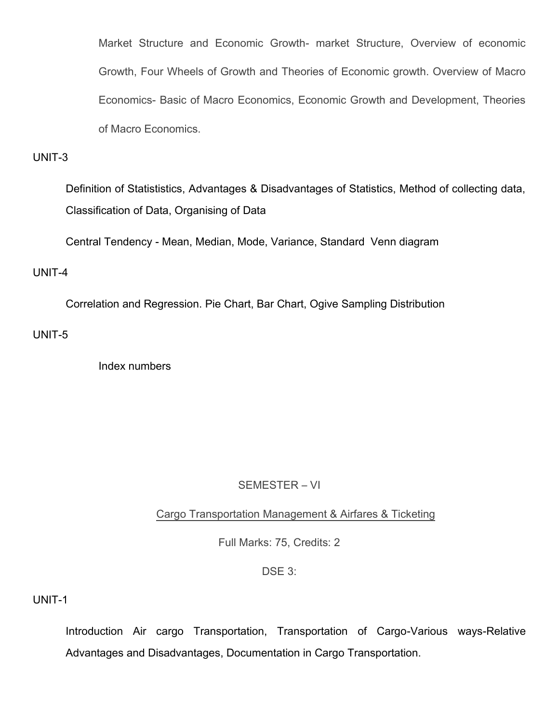Market Structure and Economic Growth- market Structure, Overview of economic Growth, Four Wheels of Growth and Theories of Economic growth. Overview of Macro Economics- Basic of Macro Economics, Economic Growth and Development, Theories of Macro Economics.

### UNIT-3

Definition of Statististics, Advantages & Disadvantages of Statistics, Method of collecting data, Classification of Data, Organising of Data

Central Tendency - Mean, Median, Mode, Variance, Standard Venn diagram

### UNIT-4

Correlation and Regression. Pie Chart, Bar Chart, Ogive Sampling Distribution

UNIT-5

Index numbers

### SEMESTER – VI

Cargo Transportation Management & Airfares & Ticketing

Full Marks: 75, Credits: 2

### DSE 3:

UNIT-1

Introduction Air cargo Transportation, Transportation of Cargo-Various ways-Relative Advantages and Disadvantages, Documentation in Cargo Transportation.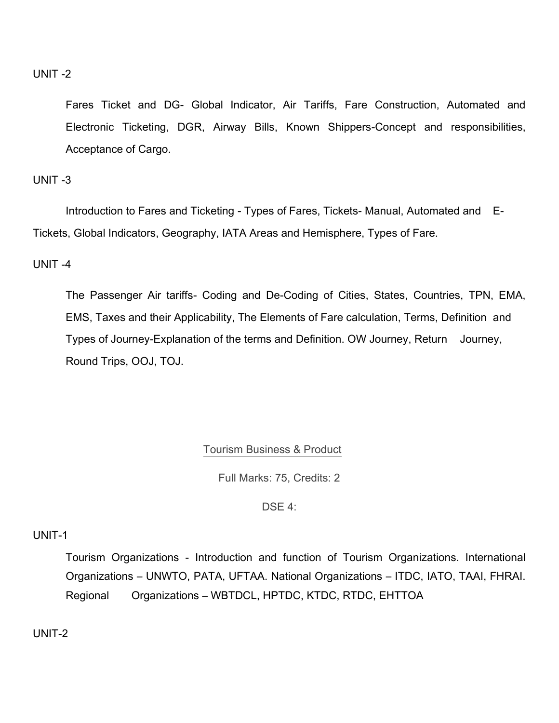### UNIT -2

Fares Ticket and DG- Global Indicator, Air Tariffs, Fare Construction, Automated and Electronic Ticketing, DGR, Airway Bills, Known Shippers-Concept and responsibilities, Acceptance of Cargo.

### UNIT -3

Introduction to Fares and Ticketing - Types of Fares, Tickets- Manual, Automated and E-Tickets, Global Indicators, Geography, IATA Areas and Hemisphere, Types of Fare.

### UNIT -4

The Passenger Air tariffs- Coding and De-Coding of Cities, States, Countries, TPN, EMA, EMS, Taxes and their Applicability, The Elements of Fare calculation, Terms, Definition and Types of Journey-Explanation of the terms and Definition. OW Journey, Return Journey, Round Trips, OOJ, TOJ.

### Tourism Business & Product

Full Marks: 75, Credits: 2

DSE 4:

#### UNIT-1

Tourism Organizations - Introduction and function of Tourism Organizations. International Organizations – UNWTO, PATA, UFTAA. National Organizations – ITDC, IATO, TAAI, FHRAI. Regional Organizations – WBTDCL, HPTDC, KTDC, RTDC, EHTTOA

UNIT-2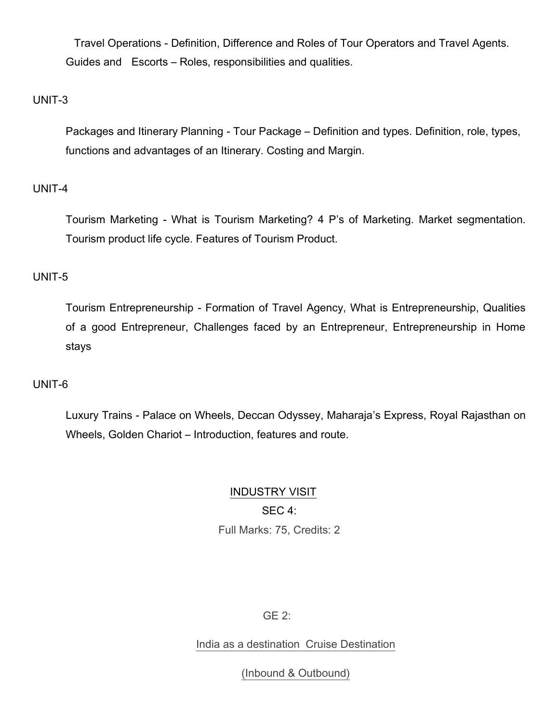Travel Operations - Definition, Difference and Roles of Tour Operators and Travel Agents. Guides and Escorts – Roles, responsibilities and qualities.

### UNIT-3

Packages and Itinerary Planning - Tour Package – Definition and types. Definition, role, types, functions and advantages of an Itinerary. Costing and Margin.

### UNIT-4

Tourism Marketing - What is Tourism Marketing? 4 P's of Marketing. Market segmentation. Tourism product life cycle. Features of Tourism Product.

### UNIT-5

Tourism Entrepreneurship - Formation of Travel Agency, What is Entrepreneurship, Qualities of a good Entrepreneur, Challenges faced by an Entrepreneur, Entrepreneurship in Home stays

### UNIT-6

Luxury Trains - Palace on Wheels, Deccan Odyssey, Maharaja's Express, Royal Rajasthan on Wheels, Golden Chariot – Introduction, features and route.

# INDUSTRY VISIT

SEC 4:

Full Marks: 75, Credits: 2

### GE 2:

### India as a destination Cruise Destination

(Inbound & Outbound)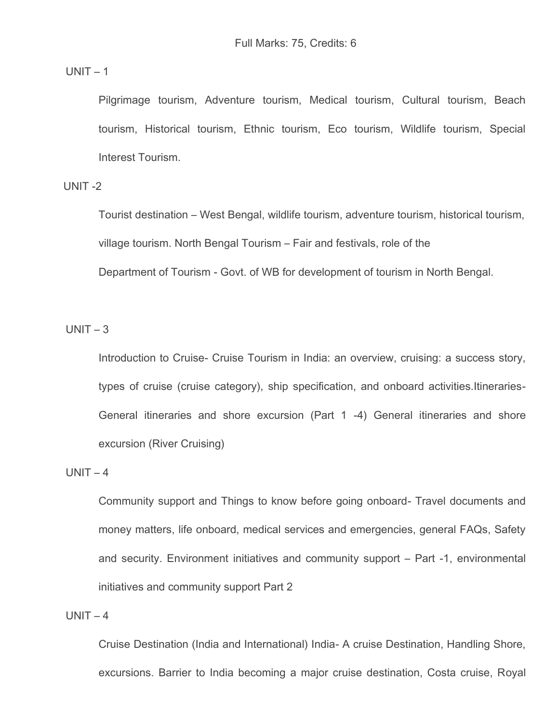$UNIT - 1$ 

Pilgrimage tourism, Adventure tourism, Medical tourism, Cultural tourism, Beach tourism, Historical tourism, Ethnic tourism, Eco tourism, Wildlife tourism, Special Interest Tourism.

 $UNIT -2$ 

Tourist destination – West Bengal, wildlife tourism, adventure tourism, historical tourism, village tourism. North Bengal Tourism – Fair and festivals, role of the Department of Tourism - Govt. of WB for development of tourism in North Bengal.

 $UNIT - 3$ 

Introduction to Cruise- Cruise Tourism in India: an overview, cruising: a success story, types of cruise (cruise category), ship specification, and onboard activities.Itineraries-General itineraries and shore excursion (Part 1 -4) General itineraries and shore excursion (River Cruising)

 $UNIT - 4$ 

Community support and Things to know before going onboard- Travel documents and money matters, life onboard, medical services and emergencies, general FAQs, Safety and security. Environment initiatives and community support – Part -1, environmental initiatives and community support Part 2

 $UNIT - 4$ 

Cruise Destination (India and International) India- A cruise Destination, Handling Shore, excursions. Barrier to India becoming a major cruise destination, Costa cruise, Royal